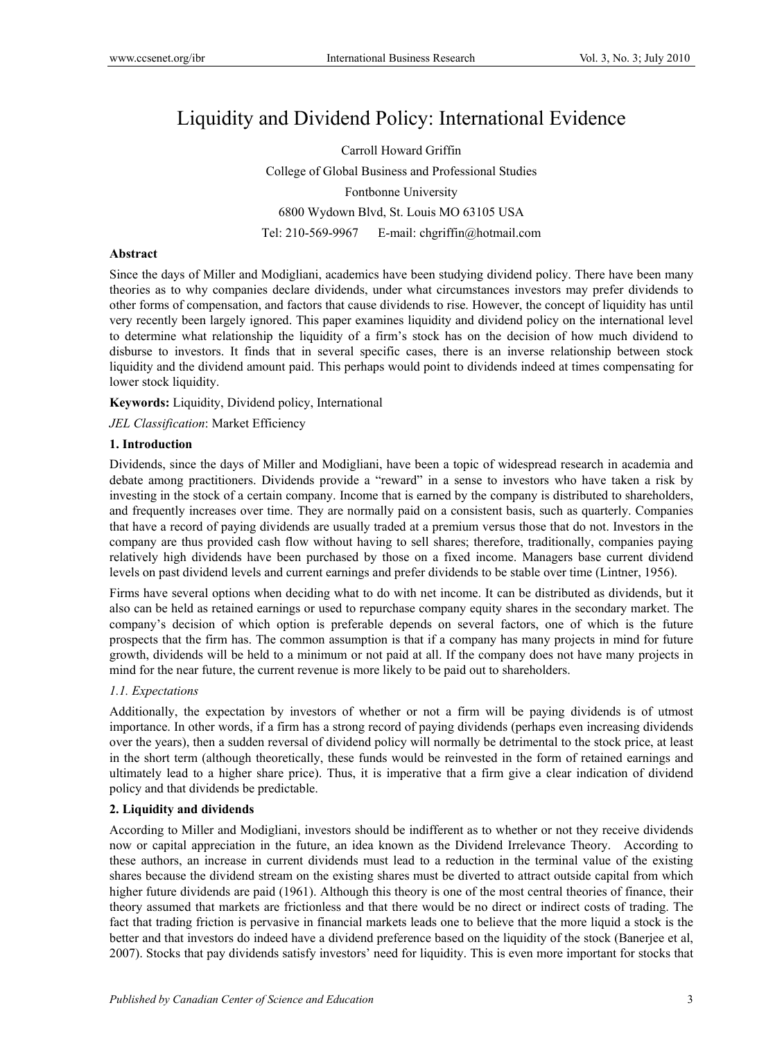# Liquidity and Dividend Policy: International Evidence

Carroll Howard Griffin College of Global Business and Professional Studies Fontbonne University 6800 Wydown Blvd, St. Louis MO 63105 USA Tel: 210-569-9967 E-mail: chgriffin@hotmail.com

# **Abstract**

Since the days of Miller and Modigliani, academics have been studying dividend policy. There have been many theories as to why companies declare dividends, under what circumstances investors may prefer dividends to other forms of compensation, and factors that cause dividends to rise. However, the concept of liquidity has until very recently been largely ignored. This paper examines liquidity and dividend policy on the international level to determine what relationship the liquidity of a firm's stock has on the decision of how much dividend to disburse to investors. It finds that in several specific cases, there is an inverse relationship between stock liquidity and the dividend amount paid. This perhaps would point to dividends indeed at times compensating for lower stock liquidity.

**Keywords:** Liquidity, Dividend policy, International

*JEL Classification*: Market Efficiency

# **1. Introduction**

Dividends, since the days of Miller and Modigliani, have been a topic of widespread research in academia and debate among practitioners. Dividends provide a "reward" in a sense to investors who have taken a risk by investing in the stock of a certain company. Income that is earned by the company is distributed to shareholders, and frequently increases over time. They are normally paid on a consistent basis, such as quarterly. Companies that have a record of paying dividends are usually traded at a premium versus those that do not. Investors in the company are thus provided cash flow without having to sell shares; therefore, traditionally, companies paying relatively high dividends have been purchased by those on a fixed income. Managers base current dividend levels on past dividend levels and current earnings and prefer dividends to be stable over time (Lintner, 1956).

Firms have several options when deciding what to do with net income. It can be distributed as dividends, but it also can be held as retained earnings or used to repurchase company equity shares in the secondary market. The company's decision of which option is preferable depends on several factors, one of which is the future prospects that the firm has. The common assumption is that if a company has many projects in mind for future growth, dividends will be held to a minimum or not paid at all. If the company does not have many projects in mind for the near future, the current revenue is more likely to be paid out to shareholders.

## *1.1. Expectations*

Additionally, the expectation by investors of whether or not a firm will be paying dividends is of utmost importance. In other words, if a firm has a strong record of paying dividends (perhaps even increasing dividends over the years), then a sudden reversal of dividend policy will normally be detrimental to the stock price, at least in the short term (although theoretically, these funds would be reinvested in the form of retained earnings and ultimately lead to a higher share price). Thus, it is imperative that a firm give a clear indication of dividend policy and that dividends be predictable.

# **2. Liquidity and dividends**

According to Miller and Modigliani, investors should be indifferent as to whether or not they receive dividends now or capital appreciation in the future, an idea known as the Dividend Irrelevance Theory. According to these authors, an increase in current dividends must lead to a reduction in the terminal value of the existing shares because the dividend stream on the existing shares must be diverted to attract outside capital from which higher future dividends are paid (1961). Although this theory is one of the most central theories of finance, their theory assumed that markets are frictionless and that there would be no direct or indirect costs of trading. The fact that trading friction is pervasive in financial markets leads one to believe that the more liquid a stock is the better and that investors do indeed have a dividend preference based on the liquidity of the stock (Banerjee et al, 2007). Stocks that pay dividends satisfy investors' need for liquidity. This is even more important for stocks that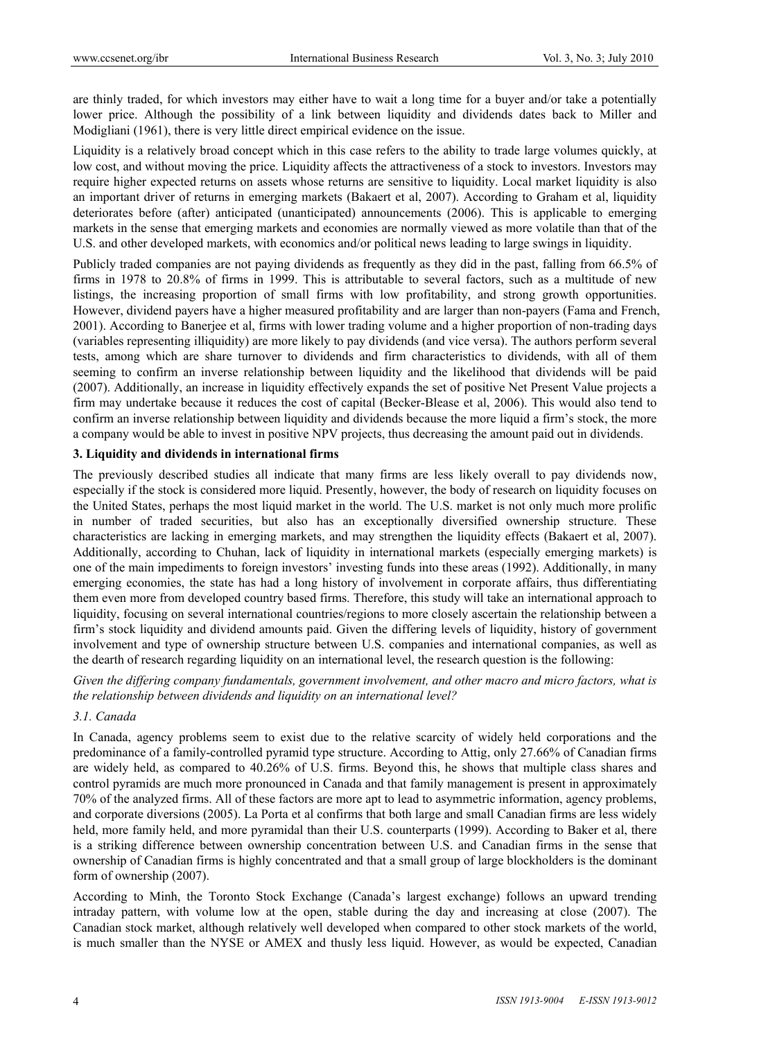are thinly traded, for which investors may either have to wait a long time for a buyer and/or take a potentially lower price. Although the possibility of a link between liquidity and dividends dates back to Miller and Modigliani (1961), there is very little direct empirical evidence on the issue.

Liquidity is a relatively broad concept which in this case refers to the ability to trade large volumes quickly, at low cost, and without moving the price. Liquidity affects the attractiveness of a stock to investors. Investors may require higher expected returns on assets whose returns are sensitive to liquidity. Local market liquidity is also an important driver of returns in emerging markets (Bakaert et al, 2007). According to Graham et al, liquidity deteriorates before (after) anticipated (unanticipated) announcements (2006). This is applicable to emerging markets in the sense that emerging markets and economies are normally viewed as more volatile than that of the U.S. and other developed markets, with economics and/or political news leading to large swings in liquidity.

Publicly traded companies are not paying dividends as frequently as they did in the past, falling from 66.5% of firms in 1978 to 20.8% of firms in 1999. This is attributable to several factors, such as a multitude of new listings, the increasing proportion of small firms with low profitability, and strong growth opportunities. However, dividend payers have a higher measured profitability and are larger than non-payers (Fama and French, 2001). According to Banerjee et al, firms with lower trading volume and a higher proportion of non-trading days (variables representing illiquidity) are more likely to pay dividends (and vice versa). The authors perform several tests, among which are share turnover to dividends and firm characteristics to dividends, with all of them seeming to confirm an inverse relationship between liquidity and the likelihood that dividends will be paid (2007). Additionally, an increase in liquidity effectively expands the set of positive Net Present Value projects a firm may undertake because it reduces the cost of capital (Becker-Blease et al, 2006). This would also tend to confirm an inverse relationship between liquidity and dividends because the more liquid a firm's stock, the more a company would be able to invest in positive NPV projects, thus decreasing the amount paid out in dividends.

#### **3. Liquidity and dividends in international firms**

The previously described studies all indicate that many firms are less likely overall to pay dividends now, especially if the stock is considered more liquid. Presently, however, the body of research on liquidity focuses on the United States, perhaps the most liquid market in the world. The U.S. market is not only much more prolific in number of traded securities, but also has an exceptionally diversified ownership structure. These characteristics are lacking in emerging markets, and may strengthen the liquidity effects (Bakaert et al, 2007). Additionally, according to Chuhan, lack of liquidity in international markets (especially emerging markets) is one of the main impediments to foreign investors' investing funds into these areas (1992). Additionally, in many emerging economies, the state has had a long history of involvement in corporate affairs, thus differentiating them even more from developed country based firms. Therefore, this study will take an international approach to liquidity, focusing on several international countries/regions to more closely ascertain the relationship between a firm's stock liquidity and dividend amounts paid. Given the differing levels of liquidity, history of government involvement and type of ownership structure between U.S. companies and international companies, as well as the dearth of research regarding liquidity on an international level, the research question is the following:

*Given the differing company fundamentals, government involvement, and other macro and micro factors, what is the relationship between dividends and liquidity on an international level?* 

## *3.1. Canada*

In Canada, agency problems seem to exist due to the relative scarcity of widely held corporations and the predominance of a family-controlled pyramid type structure. According to Attig, only 27.66% of Canadian firms are widely held, as compared to 40.26% of U.S. firms. Beyond this, he shows that multiple class shares and control pyramids are much more pronounced in Canada and that family management is present in approximately 70% of the analyzed firms. All of these factors are more apt to lead to asymmetric information, agency problems, and corporate diversions (2005). La Porta et al confirms that both large and small Canadian firms are less widely held, more family held, and more pyramidal than their U.S. counterparts (1999). According to Baker et al, there is a striking difference between ownership concentration between U.S. and Canadian firms in the sense that ownership of Canadian firms is highly concentrated and that a small group of large blockholders is the dominant form of ownership (2007).

According to Minh, the Toronto Stock Exchange (Canada's largest exchange) follows an upward trending intraday pattern, with volume low at the open, stable during the day and increasing at close (2007). The Canadian stock market, although relatively well developed when compared to other stock markets of the world, is much smaller than the NYSE or AMEX and thusly less liquid. However, as would be expected, Canadian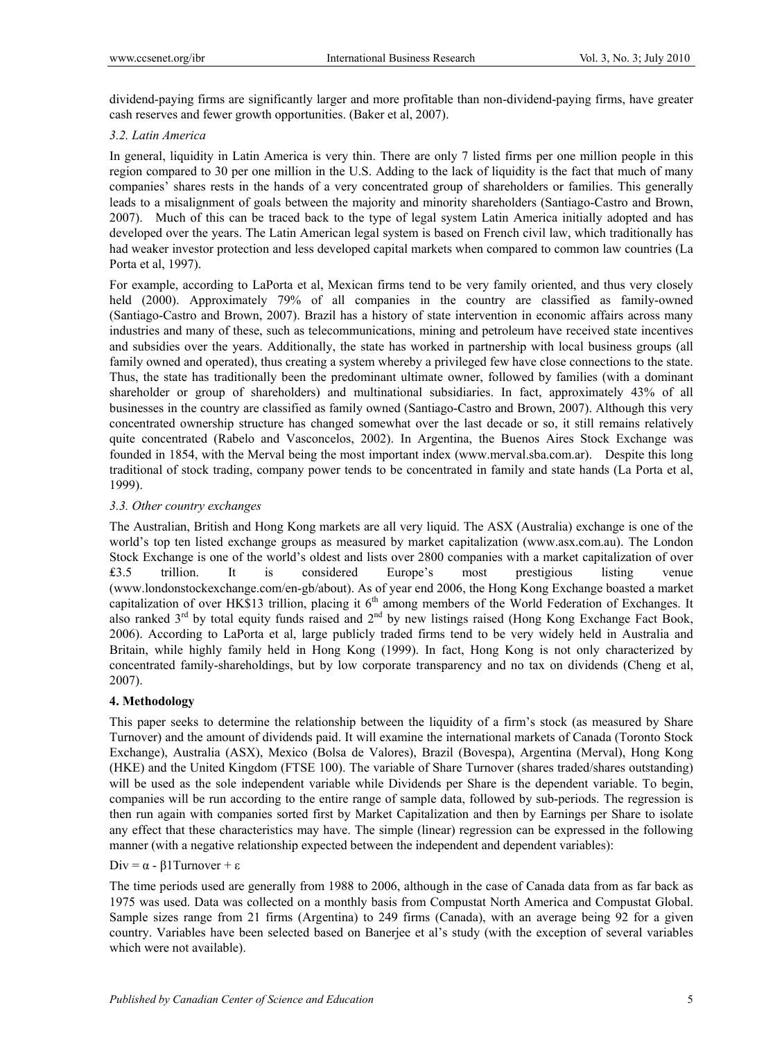dividend-paying firms are significantly larger and more profitable than non-dividend-paying firms, have greater cash reserves and fewer growth opportunities. (Baker et al, 2007).

# *3.2. Latin America*

In general, liquidity in Latin America is very thin. There are only 7 listed firms per one million people in this region compared to 30 per one million in the U.S. Adding to the lack of liquidity is the fact that much of many companies' shares rests in the hands of a very concentrated group of shareholders or families. This generally leads to a misalignment of goals between the majority and minority shareholders (Santiago-Castro and Brown, 2007). Much of this can be traced back to the type of legal system Latin America initially adopted and has developed over the years. The Latin American legal system is based on French civil law, which traditionally has had weaker investor protection and less developed capital markets when compared to common law countries (La Porta et al, 1997).

For example, according to LaPorta et al, Mexican firms tend to be very family oriented, and thus very closely held (2000). Approximately 79% of all companies in the country are classified as family-owned (Santiago-Castro and Brown, 2007). Brazil has a history of state intervention in economic affairs across many industries and many of these, such as telecommunications, mining and petroleum have received state incentives and subsidies over the years. Additionally, the state has worked in partnership with local business groups (all family owned and operated), thus creating a system whereby a privileged few have close connections to the state. Thus, the state has traditionally been the predominant ultimate owner, followed by families (with a dominant shareholder or group of shareholders) and multinational subsidiaries. In fact, approximately 43% of all businesses in the country are classified as family owned (Santiago-Castro and Brown, 2007). Although this very concentrated ownership structure has changed somewhat over the last decade or so, it still remains relatively quite concentrated (Rabelo and Vasconcelos, 2002). In Argentina, the Buenos Aires Stock Exchange was founded in 1854, with the Merval being the most important index (www.merval.sba.com.ar). Despite this long traditional of stock trading, company power tends to be concentrated in family and state hands (La Porta et al, 1999).

# *3.3. Other country exchanges*

The Australian, British and Hong Kong markets are all very liquid. The ASX (Australia) exchange is one of the world's top ten listed exchange groups as measured by market capitalization (www.asx.com.au). The London Stock Exchange is one of the world's oldest and lists over 2800 companies with a market capitalization of over ₤3.5 trillion. It is considered Europe's most prestigious listing venue (www.londonstockexchange.com/en-gb/about). As of year end 2006, the Hong Kong Exchange boasted a market capitalization of over HK\$13 trillion, placing it  $6<sup>th</sup>$  among members of the World Federation of Exchanges. It also ranked  $3<sup>rd</sup>$  by total equity funds raised and  $2<sup>nd</sup>$  by new listings raised (Hong Kong Exchange Fact Book, 2006). According to LaPorta et al, large publicly traded firms tend to be very widely held in Australia and Britain, while highly family held in Hong Kong (1999). In fact, Hong Kong is not only characterized by concentrated family-shareholdings, but by low corporate transparency and no tax on dividends (Cheng et al, 2007).

# **4. Methodology**

This paper seeks to determine the relationship between the liquidity of a firm's stock (as measured by Share Turnover) and the amount of dividends paid. It will examine the international markets of Canada (Toronto Stock Exchange), Australia (ASX), Mexico (Bolsa de Valores), Brazil (Bovespa), Argentina (Merval), Hong Kong (HKE) and the United Kingdom (FTSE 100). The variable of Share Turnover (shares traded/shares outstanding) will be used as the sole independent variable while Dividends per Share is the dependent variable. To begin, companies will be run according to the entire range of sample data, followed by sub-periods. The regression is then run again with companies sorted first by Market Capitalization and then by Earnings per Share to isolate any effect that these characteristics may have. The simple (linear) regression can be expressed in the following manner (with a negative relationship expected between the independent and dependent variables):

# Div =  $\alpha$  - β1Turnover + ε

The time periods used are generally from 1988 to 2006, although in the case of Canada data from as far back as 1975 was used. Data was collected on a monthly basis from Compustat North America and Compustat Global. Sample sizes range from 21 firms (Argentina) to 249 firms (Canada), with an average being 92 for a given country. Variables have been selected based on Banerjee et al's study (with the exception of several variables which were not available).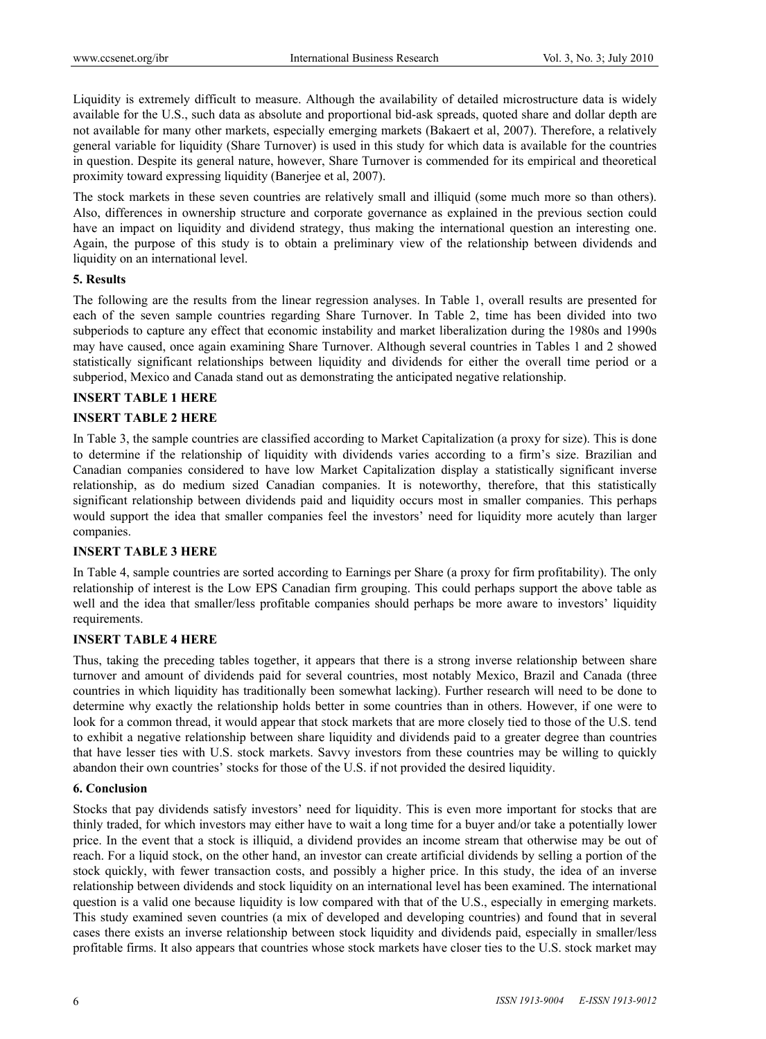Liquidity is extremely difficult to measure. Although the availability of detailed microstructure data is widely available for the U.S., such data as absolute and proportional bid-ask spreads, quoted share and dollar depth are not available for many other markets, especially emerging markets (Bakaert et al, 2007). Therefore, a relatively general variable for liquidity (Share Turnover) is used in this study for which data is available for the countries in question. Despite its general nature, however, Share Turnover is commended for its empirical and theoretical proximity toward expressing liquidity (Banerjee et al, 2007).

The stock markets in these seven countries are relatively small and illiquid (some much more so than others). Also, differences in ownership structure and corporate governance as explained in the previous section could have an impact on liquidity and dividend strategy, thus making the international question an interesting one. Again, the purpose of this study is to obtain a preliminary view of the relationship between dividends and liquidity on an international level.

#### **5. Results**

The following are the results from the linear regression analyses. In Table 1, overall results are presented for each of the seven sample countries regarding Share Turnover. In Table 2, time has been divided into two subperiods to capture any effect that economic instability and market liberalization during the 1980s and 1990s may have caused, once again examining Share Turnover. Although several countries in Tables 1 and 2 showed statistically significant relationships between liquidity and dividends for either the overall time period or a subperiod, Mexico and Canada stand out as demonstrating the anticipated negative relationship.

## **INSERT TABLE 1 HERE**

## **INSERT TABLE 2 HERE**

In Table 3, the sample countries are classified according to Market Capitalization (a proxy for size). This is done to determine if the relationship of liquidity with dividends varies according to a firm's size. Brazilian and Canadian companies considered to have low Market Capitalization display a statistically significant inverse relationship, as do medium sized Canadian companies. It is noteworthy, therefore, that this statistically significant relationship between dividends paid and liquidity occurs most in smaller companies. This perhaps would support the idea that smaller companies feel the investors' need for liquidity more acutely than larger companies.

## **INSERT TABLE 3 HERE**

In Table 4, sample countries are sorted according to Earnings per Share (a proxy for firm profitability). The only relationship of interest is the Low EPS Canadian firm grouping. This could perhaps support the above table as well and the idea that smaller/less profitable companies should perhaps be more aware to investors' liquidity requirements.

## **INSERT TABLE 4 HERE**

Thus, taking the preceding tables together, it appears that there is a strong inverse relationship between share turnover and amount of dividends paid for several countries, most notably Mexico, Brazil and Canada (three countries in which liquidity has traditionally been somewhat lacking). Further research will need to be done to determine why exactly the relationship holds better in some countries than in others. However, if one were to look for a common thread, it would appear that stock markets that are more closely tied to those of the U.S. tend to exhibit a negative relationship between share liquidity and dividends paid to a greater degree than countries that have lesser ties with U.S. stock markets. Savvy investors from these countries may be willing to quickly abandon their own countries' stocks for those of the U.S. if not provided the desired liquidity.

#### **6. Conclusion**

Stocks that pay dividends satisfy investors' need for liquidity. This is even more important for stocks that are thinly traded, for which investors may either have to wait a long time for a buyer and/or take a potentially lower price. In the event that a stock is illiquid, a dividend provides an income stream that otherwise may be out of reach. For a liquid stock, on the other hand, an investor can create artificial dividends by selling a portion of the stock quickly, with fewer transaction costs, and possibly a higher price. In this study, the idea of an inverse relationship between dividends and stock liquidity on an international level has been examined. The international question is a valid one because liquidity is low compared with that of the U.S., especially in emerging markets. This study examined seven countries (a mix of developed and developing countries) and found that in several cases there exists an inverse relationship between stock liquidity and dividends paid, especially in smaller/less profitable firms. It also appears that countries whose stock markets have closer ties to the U.S. stock market may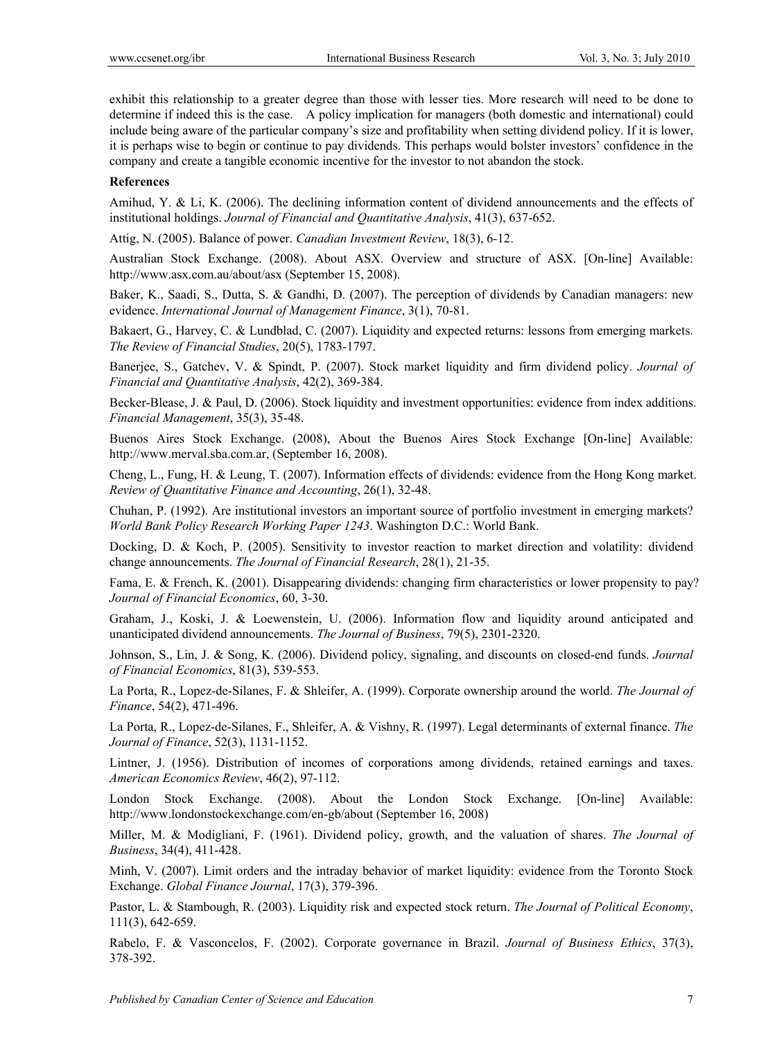exhibit this relationship to a greater degree than those with lesser ties. More research will need to be done to determine if indeed this is the case. A policy implication for managers (both domestic and international) could include being aware of the particular company's size and profitability when setting dividend policy. If it is lower, it is perhaps wise to begin or continue to pay dividends. This perhaps would bolster investors' confidence in the company and create a tangible economic incentive for the investor to not abandon the stock.

#### **References**

Amihud, Y. & Li, K. (2006). The declining information content of dividend announcements and the effects of institutional holdings. *Journal of Financial and Quantitative Analysis*, 41(3), 637-652.

Attig, N. (2005). Balance of power. *Canadian Investment Review*, 18(3), 6-12.

Australian Stock Exchange. (2008). About ASX. Overview and structure of ASX. [On-line] Available: http://www.asx.com.au/about/asx (September 15, 2008).

Baker, K., Saadi, S., Dutta, S. & Gandhi, D. (2007). The perception of dividends by Canadian managers: new evidence. *International Journal of Management Finance*, 3(1), 70-81.

Bakaert, G., Harvey, C. & Lundblad, C. (2007). Liquidity and expected returns: lessons from emerging markets. *The Review of Financial Studies*, 20(5), 1783-1797.

Banerjee, S., Gatchev, V. & Spindt, P. (2007). Stock market liquidity and firm dividend policy. *Journal of Financial and Quantitative Analysis*, 42(2), 369-384.

Becker-Blease, J. & Paul, D. (2006). Stock liquidity and investment opportunities: evidence from index additions. *Financial Management*, 35(3), 35-48.

Buenos Aires Stock Exchange. (2008), About the Buenos Aires Stock Exchange [On-line] Available: http://www.merval.sba.com.ar, (September 16, 2008).

Cheng, L., Fung, H. & Leung, T. (2007). Information effects of dividends: evidence from the Hong Kong market. *Review of Quantitative Finance and Accounting*, 26(1), 32-48.

Chuhan, P. (1992). Are institutional investors an important source of portfolio investment in emerging markets? *World Bank Policy Research Working Paper 1243*. Washington D.C.: World Bank.

Docking, D. & Koch, P. (2005). Sensitivity to investor reaction to market direction and volatility: dividend change announcements. *The Journal of Financial Research*, 28(1), 21-35.

Fama, E. & French, K. (2001). Disappearing dividends: changing firm characteristics or lower propensity to pay? *Journal of Financial Economics*, 60, 3-30.

Graham, J., Koski, J. & Loewenstein, U. (2006). Information flow and liquidity around anticipated and unanticipated dividend announcements. *The Journal of Business*, 79(5), 2301-2320.

Johnson, S., Lin, J. & Song, K. (2006). Dividend policy, signaling, and discounts on closed-end funds. *Journal of Financial Economics*, 81(3), 539-553.

La Porta, R., Lopez-de-Silanes, F. & Shleifer, A. (1999). Corporate ownership around the world. *The Journal of Finance*, 54(2), 471-496.

La Porta, R., Lopez-de-Silanes, F., Shleifer, A. & Vishny, R. (1997). Legal determinants of external finance. *The Journal of Finance*, 52(3), 1131-1152.

Lintner, J. (1956). Distribution of incomes of corporations among dividends, retained earnings and taxes. *American Economics Review*, 46(2), 97-112.

London Stock Exchange. (2008). About the London Stock Exchange. [On-line] Available: http://www.londonstockexchange.com/en-gb/about (September 16, 2008)

Miller, M. & Modigliani, F. (1961). Dividend policy, growth, and the valuation of shares. *The Journal of Business*, 34(4), 411-428.

Minh, V. (2007). Limit orders and the intraday behavior of market liquidity: evidence from the Toronto Stock Exchange. *Global Finance Journal*, 17(3), 379-396.

Pastor, L. & Stambough, R. (2003). Liquidity risk and expected stock return. *The Journal of Political Economy*, 111(3), 642-659.

Rabelo, F. & Vasconcelos, F. (2002). Corporate governance in Brazil. *Journal of Business Ethics*, 37(3), 378-392.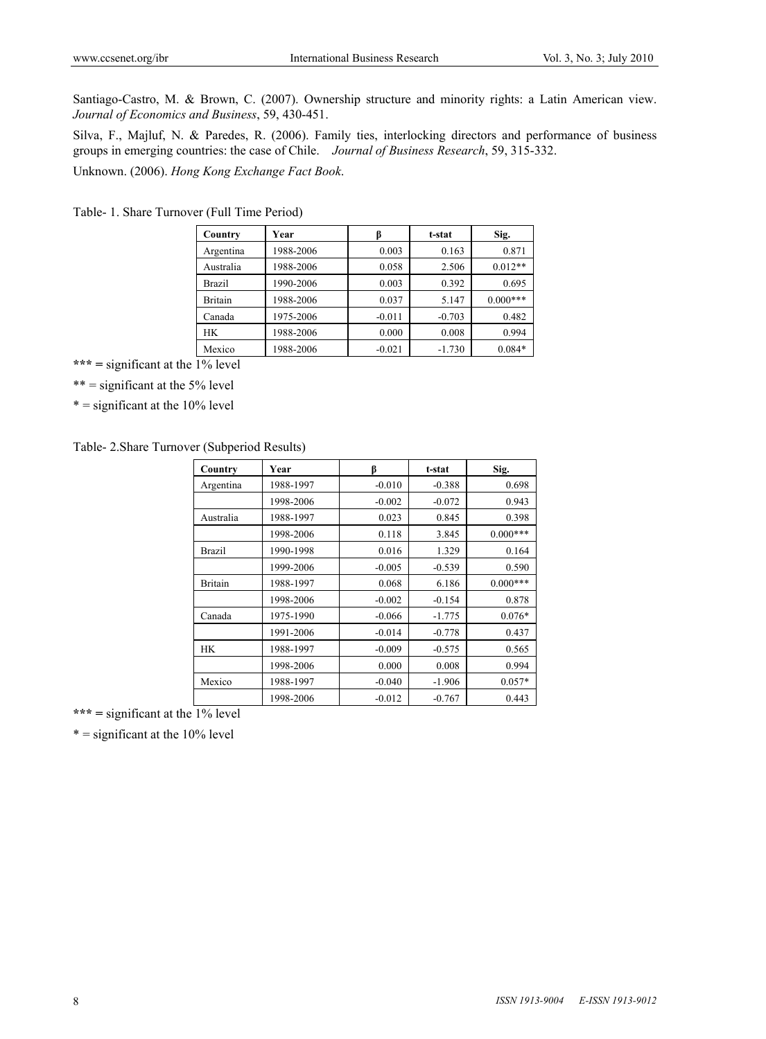Santiago-Castro, M. & Brown, C. (2007). Ownership structure and minority rights: a Latin American view. *Journal of Economics and Business*, 59, 430-451.

Silva, F., Majluf, N. & Paredes, R. (2006). Family ties, interlocking directors and performance of business groups in emerging countries: the case of Chile. *Journal of Business Research*, 59, 315-332. Unknown. (2006). *Hong Kong Exchange Fact Book*.

Table- 1. Share Turnover (Full Time Period)

| Country       | Year      | B        | t-stat   | Sig.       |
|---------------|-----------|----------|----------|------------|
| Argentina     | 1988-2006 | 0.003    | 0.163    | 0.871      |
| Australia     | 1988-2006 | 0.058    | 2.506    | $0.012**$  |
| <b>Brazil</b> | 1990-2006 | 0.003    | 0.392    | 0.695      |
| Britain       | 1988-2006 | 0.037    | 5.147    | $0.000***$ |
| Canada        | 1975-2006 | $-0.011$ | $-0.703$ | 0.482      |
| HК            | 1988-2006 | 0.000    | 0.008    | 0.994      |
| Mexico        | 1988-2006 | $-0.021$ | $-1.730$ | $0.084*$   |

\*\*\* = significant at the  $\frac{1}{6}$  level

 $***$  = significant at the 5% level

 $* =$  significant at the 10% level

Table- 2.Share Turnover (Subperiod Results)

| Country        | Year      | β        | t-stat   | Sig.       |
|----------------|-----------|----------|----------|------------|
| Argentina      | 1988-1997 | $-0.010$ | $-0.388$ | 0.698      |
|                | 1998-2006 | $-0.002$ | $-0.072$ | 0.943      |
| Australia      | 1988-1997 | 0.023    | 0.845    | 0.398      |
|                | 1998-2006 | 0.118    | 3.845    | $0.000***$ |
| <b>Brazil</b>  | 1990-1998 | 0.016    | 1.329    | 0.164      |
|                | 1999-2006 | $-0.005$ | $-0.539$ | 0.590      |
| <b>Britain</b> | 1988-1997 | 0.068    | 6.186    | $0.000***$ |
|                | 1998-2006 | $-0.002$ | $-0.154$ | 0.878      |
| Canada         | 1975-1990 | $-0.066$ | $-1.775$ | $0.076*$   |
|                | 1991-2006 | $-0.014$ | $-0.778$ | 0.437      |
| <b>HK</b>      | 1988-1997 | $-0.009$ | $-0.575$ | 0.565      |
|                | 1998-2006 | 0.000    | 0.008    | 0.994      |
| Mexico         | 1988-1997 | $-0.040$ | $-1.906$ | $0.057*$   |
|                | 1998-2006 | $-0.012$ | $-0.767$ | 0.443      |

\*\*\* = significant at the  $\frac{1}{6}$  level

 $* =$  significant at the 10% level